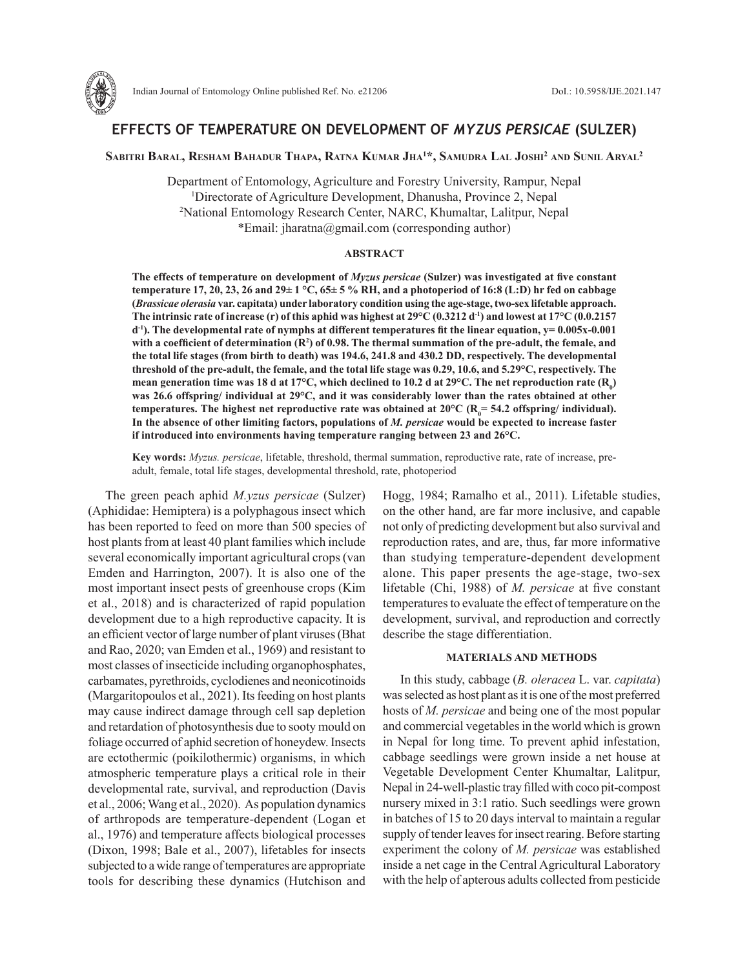

# **EFFECTS OF TEMPERATURE ON DEVELOPMENT OF** *MYZUS PERSICAE* **(SULZER)**

# **Sabitri Baral, Resham Bahadur Thapa, Ratna Kumar Jha1 \*, Samudra Lal Joshi2 and Sunil Aryal2**

Department of Entomology, Agriculture and Forestry University, Rampur, Nepal 1 Directorate of Agriculture Development, Dhanusha, Province 2, Nepal 2 National Entomology Research Center, NARC, Khumaltar, Lalitpur, Nepal \*Email: jharatna@gmail.com (corresponding author)

## **ABSTRACT**

**The effects of temperature on development of** *Myzus persicae* **(Sulzer) was investigated at five constant temperature 17, 20, 23, 26 and 29± 1 °C, 65± 5 % RH, and a photoperiod of 16:8 (L:D) hr fed on cabbage (***Brassicae olerasia* **var. capitata) under laboratory condition using the age-stage, two-sex lifetable approach.**  The intrinsic rate of increase (r) of this aphid was highest at  $29^{\circ}$ C (0.3212 d<sup>-1</sup>) and lowest at  $17^{\circ}$ C (0.0.2157 **d-1). The developmental rate of nymphs at different temperatures fit the linear equation, y= 0.005x-0.001 with a coefficient of determination (R<sup>2</sup> ) of 0.98. The thermal summation of the pre-adult, the female, and the total life stages (from birth to death) was 194.6, 241.8 and 430.2 DD, respectively. The developmental threshold of the pre-adult, the female, and the total life stage was 0.29, 10.6, and 5.29°C, respectively. The**  mean generation time was 18 d at 17°C, which declined to 10.2 d at 29°C. The net reproduction rate ( $\mathrm{R}_0$ ) **was 26.6 offspring/ individual at 29°C, and it was considerably lower than the rates obtained at other**  temperatures. The highest net reproductive rate was obtained at 20°C (R<sub>0</sub>= 54.2 offspring/ individual). **In the absence of other limiting factors, populations of** *M. persicae* **would be expected to increase faster if introduced into environments having temperature ranging between 23 and 26°C.**

**Key words:** *Myzus. persicae*, lifetable, threshold, thermal summation, reproductive rate, rate of increase, preadult, female, total life stages, developmental threshold, rate, photoperiod

The green peach aphid *M.yzus persicae* (Sulzer) (Aphididae: Hemiptera) is a polyphagous insect which has been reported to feed on more than 500 species of host plants from at least 40 plant families which include several economically important agricultural crops (van Emden and Harrington, 2007). It is also one of the most important insect pests of greenhouse crops (Kim et al., 2018) and is characterized of rapid population development due to a high reproductive capacity. It is an efficient vector of large number of plant viruses (Bhat and Rao, 2020; van Emden et al., 1969) and resistant to most classes of insecticide including organophosphates, carbamates, pyrethroids, cyclodienes and neonicotinoids (Margaritopoulos et al., 2021). Its feeding on host plants may cause indirect damage through cell sap depletion and retardation of photosynthesis due to sooty mould on foliage occurred of aphid secretion of honeydew. Insects are ectothermic (poikilothermic) organisms, in which atmospheric temperature plays a critical role in their developmental rate, survival, and reproduction (Davis et al., 2006; Wang et al., 2020). As population dynamics of arthropods are temperature-dependent (Logan et al., 1976) and temperature affects biological processes (Dixon, 1998; Bale et al., 2007), lifetables for insects subjected to a wide range of temperatures are appropriate tools for describing these dynamics (Hutchison and

Hogg, 1984; Ramalho et al., 2011). Lifetable studies, on the other hand, are far more inclusive, and capable not only of predicting development but also survival and reproduction rates, and are, thus, far more informative than studying temperature-dependent development alone. This paper presents the age-stage, two-sex lifetable (Chi, 1988) of *M. persicae* at five constant temperatures to evaluate the effect of temperature on the development, survival, and reproduction and correctly describe the stage differentiation.

## **MATERIALS AND METHODS**

In this study, cabbage (*B. oleracea* L. var. *capitata*) was selected as host plant as it is one of the most preferred hosts of *M. persicae* and being one of the most popular and commercial vegetables in the world which is grown in Nepal for long time. To prevent aphid infestation, cabbage seedlings were grown inside a net house at Vegetable Development Center Khumaltar, Lalitpur, Nepal in 24-well-plastic tray filled with coco pit-compost nursery mixed in 3:1 ratio. Such seedlings were grown in batches of 15 to 20 days interval to maintain a regular supply of tender leaves for insect rearing. Before starting experiment the colony of *M. persicae* was established inside a net cage in the Central Agricultural Laboratory with the help of apterous adults collected from pesticide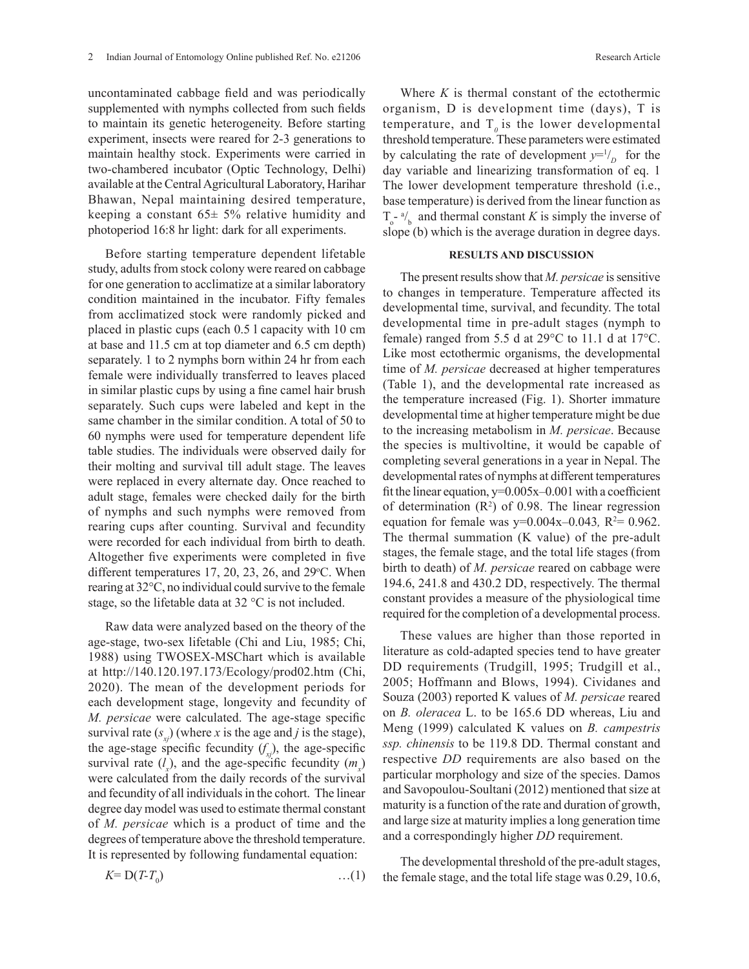uncontaminated cabbage field and was periodically supplemented with nymphs collected from such fields to maintain its genetic heterogeneity. Before starting experiment, insects were reared for 2-3 generations to maintain healthy stock. Experiments were carried in two-chambered incubator (Optic Technology, Delhi) available at the Central Agricultural Laboratory, Harihar Bhawan, Nepal maintaining desired temperature, keeping a constant  $65 \pm 5\%$  relative humidity and photoperiod 16:8 hr light: dark for all experiments.

Before starting temperature dependent lifetable study, adults from stock colony were reared on cabbage for one generation to acclimatize at a similar laboratory condition maintained in the incubator. Fifty females from acclimatized stock were randomly picked and placed in plastic cups (each 0.5 l capacity with 10 cm at base and 11.5 cm at top diameter and 6.5 cm depth) separately. 1 to 2 nymphs born within 24 hr from each female were individually transferred to leaves placed in similar plastic cups by using a fine camel hair brush separately. Such cups were labeled and kept in the same chamber in the similar condition. A total of 50 to 60 nymphs were used for temperature dependent life table studies. The individuals were observed daily for their molting and survival till adult stage. The leaves were replaced in every alternate day. Once reached to adult stage, females were checked daily for the birth of nymphs and such nymphs were removed from rearing cups after counting. Survival and fecundity were recorded for each individual from birth to death. Altogether five experiments were completed in five different temperatures  $17, 20, 23, 26,$  and  $29^{\circ}$ C. When rearing at 32°C, no individual could survive to the female stage, so the lifetable data at 32 °C is not included.

Raw data were analyzed based on the theory of the age-stage, two-sex lifetable (Chi and Liu, 1985; Chi, 1988) using TWOSEX-MSChart which is available at http://140.120.197.173/Ecology/prod02.htm (Chi, 2020). The mean of the development periods for each development stage, longevity and fecundity of *M. persicae* were calculated. The age-stage specific survival rate  $(s_{y})$  (where *x* is the age and *j* is the stage), the age-stage specific fecundity  $(f_{x}$ ), the age-specific survival rate  $(l_x)$ , and the age-specific fecundity  $(m_x)$ were calculated from the daily records of the survival and fecundity of all individuals in the cohort. The linear degree day model was used to estimate thermal constant of *M. persicae* which is a product of time and the degrees of temperature above the threshold temperature. It is represented by following fundamental equation:

$$
K = D(T - T_0) \tag{1}
$$

Where *K* is thermal constant of the ectothermic organism, D is development time (days), T is temperature, and  $T<sub>0</sub>$  is the lower developmental threshold temperature. These parameters were estimated by calculating the rate of development  $y=1/2$  for the day variable and linearizing transformation of eq. 1 The lower development temperature threshold (i.e., base temperature) is derived from the linear function as  $T_o$ <sup>-a</sup>/<sub>b</sub> and thermal constant *K* is simply the inverse of slope (b) which is the average duration in degree days.

#### **RESULTS AND DISCUSSION**

The present results show that *M. persicae* is sensitive to changes in temperature. Temperature affected its developmental time, survival, and fecundity. The total developmental time in pre-adult stages (nymph to female) ranged from 5.5 d at 29°C to 11.1 d at 17°C. Like most ectothermic organisms, the developmental time of *M. persicae* decreased at higher temperatures (Table 1), and the developmental rate increased as the temperature increased (Fig. 1). Shorter immature developmental time at higher temperature might be due to the increasing metabolism in *M. persicae*. Because the species is multivoltine, it would be capable of completing several generations in a year in Nepal. The developmental rates of nymphs at different temperatures fit the linear equation,  $y=0.005x-0.001$  with a coefficient of determination  $(R^2)$  of 0.98. The linear regression equation for female was  $y=0.004x-0.043$ ,  $R^2=0.962$ . The thermal summation (K value) of the pre-adult stages, the female stage, and the total life stages (from birth to death) of *M. persicae* reared on cabbage were 194.6, 241.8 and 430.2 DD, respectively. The thermal constant provides a measure of the physiological time required for the completion of a developmental process.

These values are higher than those reported in literature as cold-adapted species tend to have greater DD requirements (Trudgill, 1995; Trudgill et al., 2005; Hoffmann and Blows, 1994). Cividanes and Souza (2003) reported K values of *M. persicae* reared on *B. oleracea* L. to be 165.6 DD whereas, Liu and Meng (1999) calculated K values on *B. campestris ssp. chinensis* to be 119.8 DD. Thermal constant and respective *DD* requirements are also based on the particular morphology and size of the species. Damos and Savopoulou-Soultani (2012) mentioned that size at maturity is a function of the rate and duration of growth, and large size at maturity implies a long generation time and a correspondingly higher *DD* requirement.

The developmental threshold of the pre-adult stages, the female stage, and the total life stage was 0.29, 10.6,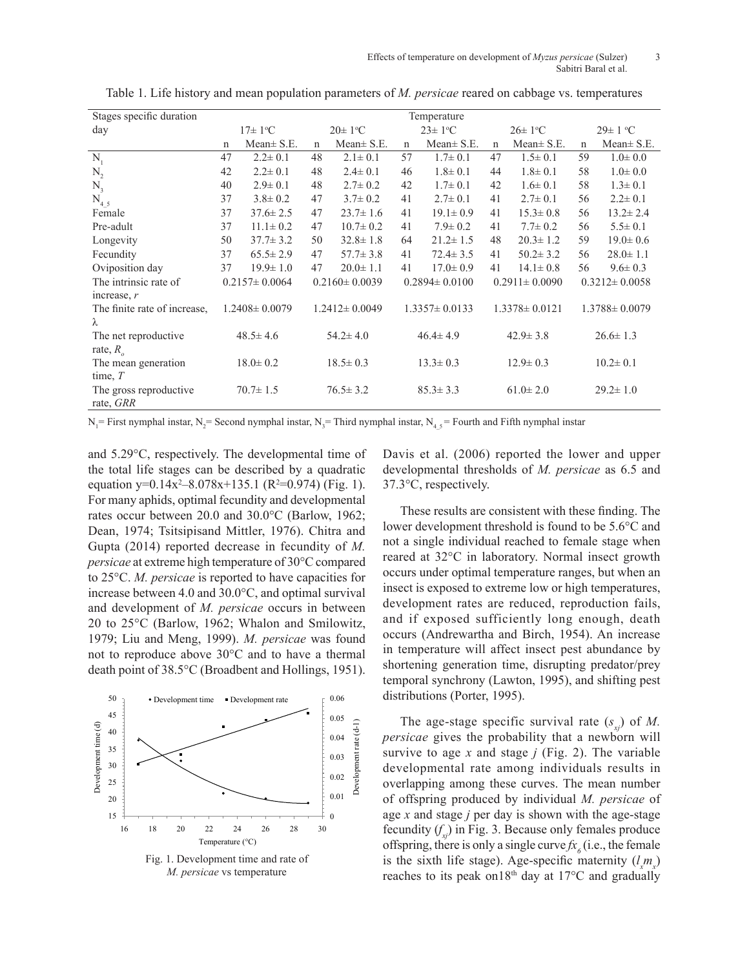| Stages specific duration<br>Temperature |                           |                 |                           |                 |                           |                 |                           |                 |                     |                 |
|-----------------------------------------|---------------------------|-----------------|---------------------------|-----------------|---------------------------|-----------------|---------------------------|-----------------|---------------------|-----------------|
| day                                     | $17 \pm 1$ <sup>o</sup> C |                 | $20 \pm 1$ <sup>o</sup> C |                 | $23 \pm 1$ <sup>o</sup> C |                 | $26 \pm 1$ <sup>o</sup> C |                 | $29\pm1$ °C         |                 |
|                                         | $\mathbf n$               | $Mean \pm S.E.$ | $\mathbf n$               | Mean $\pm$ S.E. | n                         | Mean $\pm$ S.E. | $\mathbf n$               | Mean $\pm$ S.E. | $\mathbf n$         | Mean $\pm$ S.E. |
| $N_{1}$                                 | 47                        | $2.2 \pm 0.1$   | 48                        | $2.1 \pm 0.1$   | 57                        | $1.7 \pm 0.1$   | 47                        | $1.5 \pm 0.1$   | 59                  | $1.0 \pm 0.0$   |
| $N_{2}$                                 | 42                        | $2.2 \pm 0.1$   | 48                        | $2.4 \pm 0.1$   | 46                        | $1.8 \pm 0.1$   | 44                        | $1.8 \pm 0.1$   | 58                  | $1.0 \pm 0.0$   |
| $N_3$                                   | 40                        | $2.9 \pm 0.1$   | 48                        | $2.7 \pm 0.2$   | 42                        | $1.7 \pm 0.1$   | 42                        | $1.6 \pm 0.1$   | 58                  | $1.3 \pm 0.1$   |
| $N_{45}$                                | 37                        | $3.8 \pm 0.2$   | 47                        | $3.7 \pm 0.2$   | 41                        | $2.7 \pm 0.1$   | 41                        | $2.7 \pm 0.1$   | 56                  | $2.2 \pm 0.1$   |
| Female                                  | 37                        | $37.6 \pm 2.5$  | 47                        | $23.7 \pm 1.6$  | 41                        | $19.1 \pm 0.9$  | 41                        | $15.3 \pm 0.8$  | 56                  | $13.2 \pm 2.4$  |
| Pre-adult                               | 37                        | $11.1 \pm 0.2$  | 47                        | $10.7 \pm 0.2$  | 41                        | $7.9 \pm 0.2$   | 41                        | $7.7 \pm 0.2$   | 56                  | $5.5 \pm 0.1$   |
| Longevity                               | 50                        | $37.7 \pm 3.2$  | 50                        | $32.8 \pm 1.8$  | 64                        | $21.2 \pm 1.5$  | 48                        | $20.3 \pm 1.2$  | 59                  | $19.0 \pm 0.6$  |
| Fecundity                               | 37                        | $65.5 \pm 2.9$  | 47                        | $57.7 \pm 3.8$  | 41                        | $72.4 \pm 3.5$  | 41                        | $50.2 \pm 3.2$  | 56                  | $28.0 \pm 1.1$  |
| Oviposition day                         | 37                        | $19.9 \pm 1.0$  | 47                        | $20.0 \pm 1.1$  | 41                        | $17.0 \pm 0.9$  | 41                        | $14.1 \pm 0.8$  | 56                  | $9.6 \pm 0.3$   |
| The intrinsic rate of                   | $0.2157 \pm 0.0064$       |                 | $0.2160 \pm 0.0039$       |                 | $0.2894 \pm 0.0100$       |                 | $0.2911 \pm 0.0090$       |                 | $0.3212 \pm 0.0058$ |                 |
| increase, $r$                           |                           |                 |                           |                 |                           |                 |                           |                 |                     |                 |
| The finite rate of increase,            | $1.2408 \pm 0.0079$       |                 | $1.2412 \pm 0.0049$       |                 | $1.3357 \pm 0.0133$       |                 | $1.3378 \pm 0.0121$       |                 | $1.3788 \pm 0.0079$ |                 |
| λ                                       |                           |                 |                           |                 |                           |                 |                           |                 |                     |                 |
| The net reproductive.                   | $48.5 \pm 4.6$            |                 | $54.2 \pm 4.0$            |                 | $46.4 \pm 4.9$            |                 | $42.9 \pm 3.8$            |                 | $26.6 \pm 1.3$      |                 |
| rate, $R_{\scriptscriptstyle\circ}$     |                           |                 |                           |                 |                           |                 |                           |                 |                     |                 |
| The mean generation                     | $18.0 \pm 0.2$            |                 | $18.5 \pm 0.3$            |                 | $13.3 \pm 0.3$            |                 | $12.9 \pm 0.3$            |                 | $10.2 \pm 0.1$      |                 |
| time, $T$                               |                           |                 |                           |                 |                           |                 |                           |                 |                     |                 |
| The gross reproductive                  | $70.7 \pm 1.5$            |                 | $76.5 \pm 3.2$            |                 | $85.3 \pm 3.3$            |                 | $61.0 \pm 2.0$            |                 | $29.2 \pm 1.0$      |                 |
| rate, GRR                               |                           |                 |                           |                 |                           |                 |                           |                 |                     |                 |

Table 1. Life history and mean population parameters of *M. persicae* reared on cabbage vs. temperatures

 $N_1$  = First nymphal instar,  $N_2$  = Second nymphal instar,  $N_3$  = Third nymphal instar,  $N_4$ <sub>5</sub> = Fourth and Fifth nymphal instar

and 5.29°C, respectively. The developmental time of the total life stages can be described by a quadratic equation y= $0.14x^2 - 8.078x + 135.1$  (R<sup>2</sup>=0.974) (Fig. 1). For many aphids, optimal fecundity and developmental rates occur between 20.0 and 30.0°C (Barlow, 1962; Dean, 1974; Tsitsipisand Mittler, 1976). Chitra and Gupta (2014) reported decrease in fecundity of *M. persicae* at extreme high temperature of 30°C compared to 25°C. *M. persicae* is reported to have capacities for increase between 4.0 and 30.0°C, and optimal survival and development of *M. persicae* occurs in between 20 to 25°C (Barlow, 1962; Whalon and Smilowitz, 1979; Liu and Meng, 1999). *M. persicae* was found not to reproduce above 30°C and to have a thermal death point of 38.5°C (Broadbent and Hollings, 1951).



Davis et al. (2006) reported the lower and upper developmental thresholds of *M. persicae* as 6.5 and 37.3°C, respectively.

These results are consistent with these finding. The lower development threshold is found to be 5.6°C and not a single individual reached to female stage when reared at 32°C in laboratory. Normal insect growth occurs under optimal temperature ranges, but when an insect is exposed to extreme low or high temperatures, development rates are reduced, reproduction fails, and if exposed sufficiently long enough, death occurs (Andrewartha and Birch, 1954). An increase in temperature will affect insect pest abundance by shortening generation time, disrupting predator/prey temporal synchrony (Lawton, 1995), and shifting pest distributions (Porter, 1995).

The age-stage specific survival rate  $(s_{x})$  of *M*. *persicae* gives the probability that a newborn will survive to age *x* and stage *j* (Fig. 2). The variable developmental rate among individuals results in overlapping among these curves. The mean number of offspring produced by individual *M. persicae* of age *x* and stage *j* per day is shown with the age-stage fecundity  $(f_{\rm x})$  in Fig. 3. Because only females produce offspring, there is only a single curve  $f_{\mathcal{X}_6}$  (i.e., the female is the sixth life stage). Age-specific maternity  $(l_x m_x)$ reaches to its peak on18th day at 17°C and gradually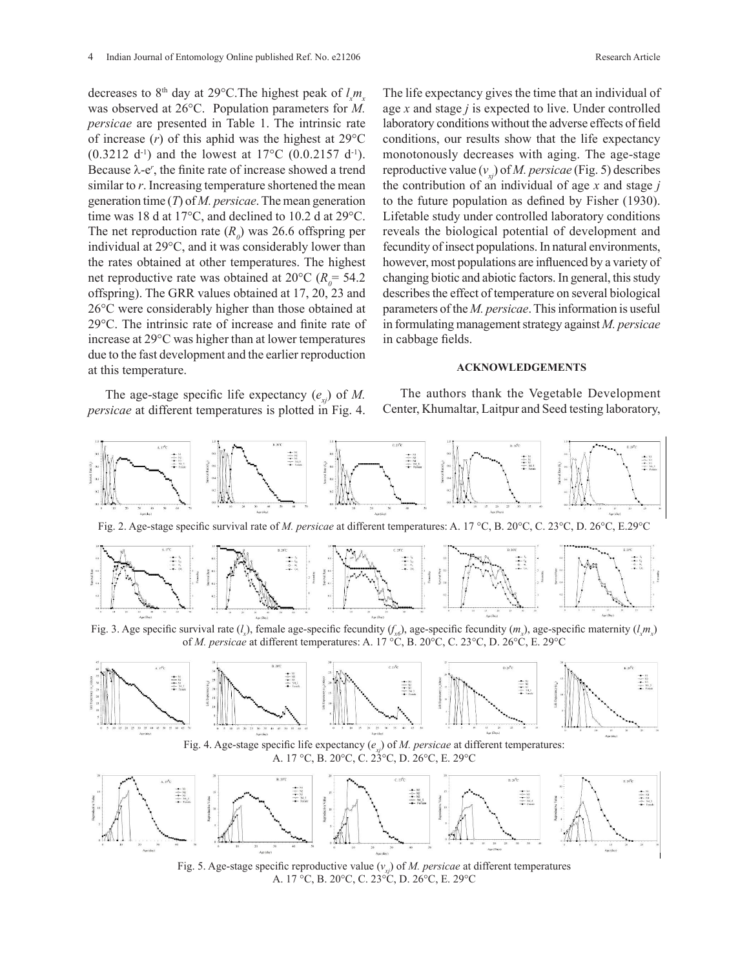decreases to 8<sup>th</sup> day at 29°C. The highest peak of  $l_x m_x$ was observed at 26°C. Population parameters for *M. persicae* are presented in Table 1. The intrinsic rate of increase  $(r)$  of this aphid was the highest at  $29^{\circ}$ C  $(0.3212 \text{ d}^{-1})$  and the lowest at 17°C  $(0.0.2157 \text{ d}^{-1})$ . Because  $\lambda$ -e', the finite rate of increase showed a trend similar to *r*. Increasing temperature shortened the mean generation time (*T*) of *M. persicae*. The mean generation time was 18 d at 17°C, and declined to 10.2 d at 29°C. The net reproduction rate  $(R_0)$  was 26.6 offspring per individual at 29°C, and it was considerably lower than the rates obtained at other temperatures. The highest net reproductive rate was obtained at  $20^{\circ}$ C ( $R_0$ = 54.2) offspring). The GRR values obtained at 17, 20, 23 and 26°C were considerably higher than those obtained at 29°C. The intrinsic rate of increase and finite rate of increase at 29°C was higher than at lower temperatures due to the fast development and the earlier reproduction at this temperature.

The age-stage specific life expectancy  $(e_{i})$  of *M*. *persicae* at different temperatures is plotted in Fig. 4. The life expectancy gives the time that an individual of age *x* and stage *j* is expected to live. Under controlled laboratory conditions without the adverse effects of field conditions, our results show that the life expectancy monotonously decreases with aging. The age-stage reproductive value  $(v_{v_i})$  of *M. persicae* (Fig. 5) describes the contribution of an individual of age *x* and stage *j* to the future population as defined by Fisher (1930). Lifetable study under controlled laboratory conditions reveals the biological potential of development and fecundity of insect populations. In natural environments, however, most populations are influenced by a variety of changing biotic and abiotic factors. In general, this study describes the effect of temperature on several biological parameters of the *M. persicae*. This information is useful in formulating management strategy against *M. persicae* in cabbage fields.

#### **ACKNOWLEDGEMENTS**

The authors thank the Vegetable Development Center, Khumaltar, Laitpur and Seed testing laboratory,



A. 17 °C, B. 20°C, C. 23°C, D. 26°C, E. 29°C